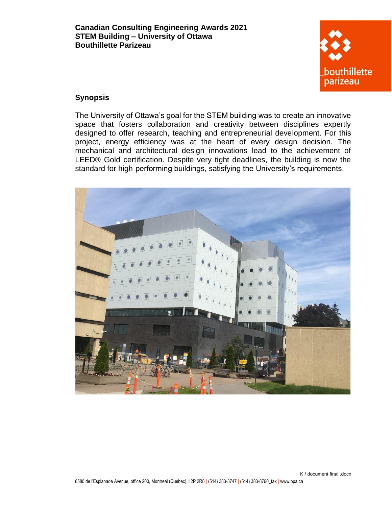

## **Synopsis**

The University of Ottawa's goal for the STEM building was to create an innovative space that fosters collaboration and creativity between disciplines expertly designed to offer research, teaching and entrepreneurial development. For this project, energy efficiency was at the heart of every design decision. The mechanical and architectural design innovations lead to the achievement of LEED® Gold certification. Despite very tight deadlines, the building is now the standard for high-performing buildings, satisfying the University's requirements.

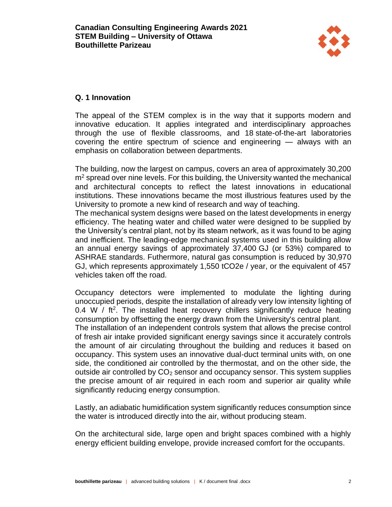

## **Q. 1 Innovation**

The appeal of the STEM complex is in the way that it supports modern and innovative education. It applies integrated and interdisciplinary approaches through the use of flexible classrooms, and 18 state-of-the-art laboratories covering the entire spectrum of science and engineering — always with an emphasis on collaboration between departments.

The building, now the largest on campus, covers an area of approximately 30,200  $m<sup>2</sup>$  spread over nine levels. For this building, the University wanted the mechanical and architectural concepts to reflect the latest innovations in educational institutions. These innovations became the most illustrious features used by the University to promote a new kind of research and way of teaching.

The mechanical system designs were based on the latest developments in energy efficiency. The heating water and chilled water were designed to be supplied by the University's central plant, not by its steam network, as it was found to be aging and inefficient. The leading-edge mechanical systems used in this building allow an annual energy savings of approximately 37,400 GJ (or 53%) compared to ASHRAE standards. Futhermore, natural gas consumption is reduced by 30,970 GJ, which represents approximately 1,550 tCO2e / year, or the equivalent of 457 vehicles taken off the road.

Occupancy detectors were implemented to modulate the lighting during unoccupied periods, despite the installation of already very low intensity lighting of 0.4 W / ft<sup>2</sup>. The installed heat recovery chillers significantly reduce heating consumption by offsetting the energy drawn from the University's central plant. The installation of an independent controls system that allows the precise control of fresh air intake provided significant energy savings since it accurately controls the amount of air circulating throughout the building and reduces it based on occupancy. This system uses an innovative dual-duct terminal units with, on one side, the conditioned air controlled by the thermostat, and on the other side, the outside air controlled by  $CO<sub>2</sub>$  sensor and occupancy sensor. This system supplies the precise amount of air required in each room and superior air quality while significantly reducing energy consumption.

Lastly, an adiabatic humidification system significantly reduces consumption since the water is introduced directly into the air, without producing steam.

On the architectural side, large open and bright spaces combined with a highly energy efficient building envelope, provide increased comfort for the occupants.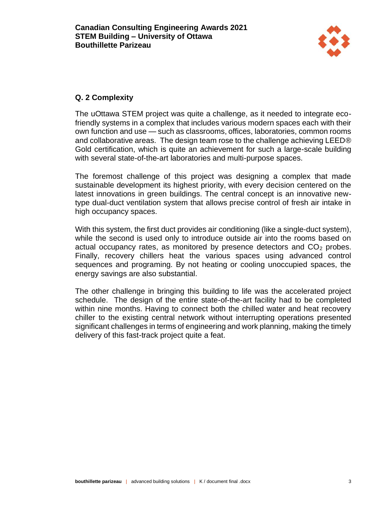

# **Q. 2 Complexity**

The uOttawa STEM project was quite a challenge, as it needed to integrate ecofriendly systems in a complex that includes various modern spaces each with their own function and use — such as classrooms, offices, laboratories, common rooms and collaborative areas. The design team rose to the challenge achieving LEED® Gold certification, which is quite an achievement for such a large-scale building with several state-of-the-art laboratories and multi-purpose spaces.

The foremost challenge of this project was designing a complex that made sustainable development its highest priority, with every decision centered on the latest innovations in green buildings. The central concept is an innovative newtype dual-duct ventilation system that allows precise control of fresh air intake in high occupancy spaces.

With this system, the first duct provides air conditioning (like a single-duct system), while the second is used only to introduce outside air into the rooms based on actual occupancy rates, as monitored by presence detectors and  $CO<sub>2</sub>$  probes. Finally, recovery chillers heat the various spaces using advanced control sequences and programing. By not heating or cooling unoccupied spaces, the energy savings are also substantial.

The other challenge in bringing this building to life was the accelerated project schedule. The design of the entire state-of-the-art facility had to be completed within nine months. Having to connect both the chilled water and heat recovery chiller to the existing central network without interrupting operations presented significant challenges in terms of engineering and work planning, making the timely delivery of this fast-track project quite a feat.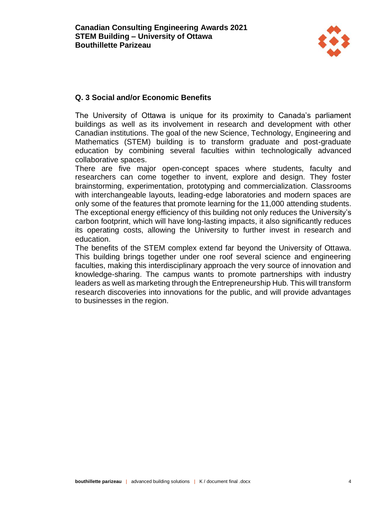

### **Q. 3 Social and/or Economic Benefits**

The University of Ottawa is unique for its proximity to Canada's parliament buildings as well as its involvement in research and development with other Canadian institutions. The goal of the new Science, Technology, Engineering and Mathematics (STEM) building is to transform graduate and post-graduate education by combining several faculties within technologically advanced collaborative spaces.

There are five major open-concept spaces where students, faculty and researchers can come together to invent, explore and design. They foster brainstorming, experimentation, prototyping and commercialization. Classrooms with interchangeable layouts, leading-edge laboratories and modern spaces are only some of the features that promote learning for the 11,000 attending students. The exceptional energy efficiency of this building not only reduces the University's carbon footprint, which will have long-lasting impacts, it also significantly reduces its operating costs, allowing the University to further invest in research and education.

The benefits of the STEM complex extend far beyond the University of Ottawa. This building brings together under one roof several science and engineering faculties, making this interdisciplinary approach the very source of innovation and knowledge-sharing. The campus wants to promote partnerships with industry leaders as well as marketing through the Entrepreneurship Hub. This will transform research discoveries into innovations for the public, and will provide advantages to businesses in the region.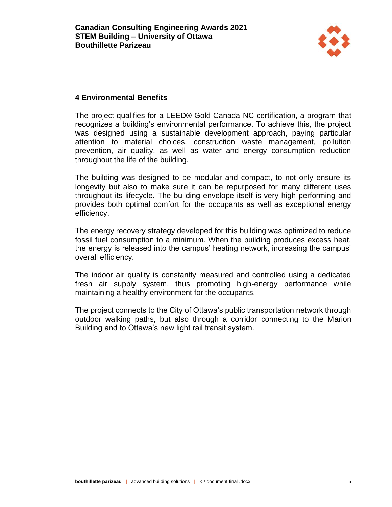

#### **4 Environmental Benefits**

The project qualifies for a LEED® Gold Canada-NC certification, a program that recognizes a building's environmental performance. To achieve this, the project was designed using a sustainable development approach, paying particular attention to material choices, construction waste management, pollution prevention, air quality, as well as water and energy consumption reduction throughout the life of the building.

The building was designed to be modular and compact, to not only ensure its longevity but also to make sure it can be repurposed for many different uses throughout its lifecycle. The building envelope itself is very high performing and provides both optimal comfort for the occupants as well as exceptional energy efficiency.

The energy recovery strategy developed for this building was optimized to reduce fossil fuel consumption to a minimum. When the building produces excess heat, the energy is released into the campus' heating network, increasing the campus' overall efficiency.

The indoor air quality is constantly measured and controlled using a dedicated fresh air supply system, thus promoting high-energy performance while maintaining a healthy environment for the occupants.

The project connects to the City of Ottawa's public transportation network through outdoor walking paths, but also through a corridor connecting to the Marion Building and to Ottawa's new light rail transit system.